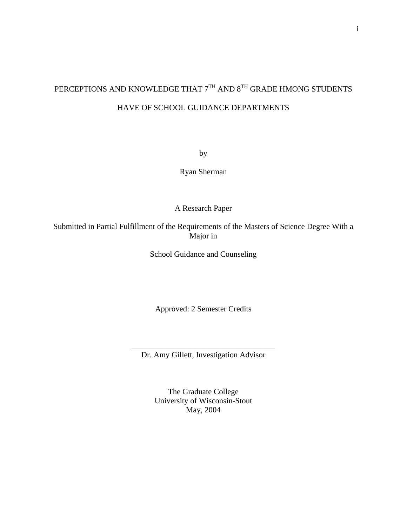# PERCEPTIONS AND KNOWLEDGE THAT  $7^{TH}$  AND  $8^{TH}$  GRADE HMONG STUDENTS HAVE OF SCHOOL GUIDANCE DEPARTMENTS

by

Ryan Sherman

A Research Paper

Submitted in Partial Fulfillment of the Requirements of the Masters of Science Degree With a Major in

School Guidance and Counseling

Approved: 2 Semester Credits

\_\_\_\_\_\_\_\_\_\_\_\_\_\_\_\_\_\_\_\_\_\_\_\_\_\_\_\_\_\_\_\_\_\_\_\_ Dr. Amy Gillett, Investigation Advisor

> The Graduate College University of Wisconsin-Stout May, 2004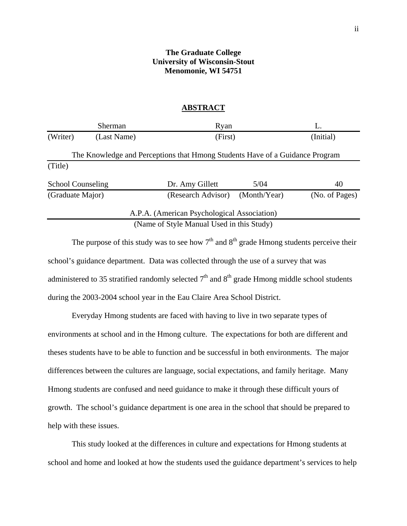## **The Graduate College University of Wisconsin-Stout Menomonie, WI 54751**

#### **ABSTRACT**

| <b>Sherman</b>           |             | Ryan                                                                         |              |                |  |
|--------------------------|-------------|------------------------------------------------------------------------------|--------------|----------------|--|
| (Writer)                 | (Last Name) | (First)                                                                      |              | (Initial)      |  |
|                          |             | The Knowledge and Perceptions that Hmong Students Have of a Guidance Program |              |                |  |
| (Title)                  |             |                                                                              |              |                |  |
| <b>School Counseling</b> |             | Dr. Amy Gillett                                                              | 5/04         | 40             |  |
| (Graduate Major)         |             | (Research Advisor)                                                           | (Month/Year) | (No. of Pages) |  |
|                          |             | A.P.A. (American Psychological Association)                                  |              |                |  |
|                          |             | (Name of Style Manual Used in this Study)                                    |              |                |  |

The purpose of this study was to see how  $7<sup>th</sup>$  and  $8<sup>th</sup>$  grade Hmong students perceive their school's guidance department. Data was collected through the use of a survey that was administered to 35 stratified randomly selected  $7<sup>th</sup>$  and  $8<sup>th</sup>$  grade Hmong middle school students during the 2003-2004 school year in the Eau Claire Area School District.

 Everyday Hmong students are faced with having to live in two separate types of environments at school and in the Hmong culture. The expectations for both are different and theses students have to be able to function and be successful in both environments. The major differences between the cultures are language, social expectations, and family heritage. Many Hmong students are confused and need guidance to make it through these difficult yours of growth. The school's guidance department is one area in the school that should be prepared to help with these issues.

This study looked at the differences in culture and expectations for Hmong students at school and home and looked at how the students used the guidance department's services to help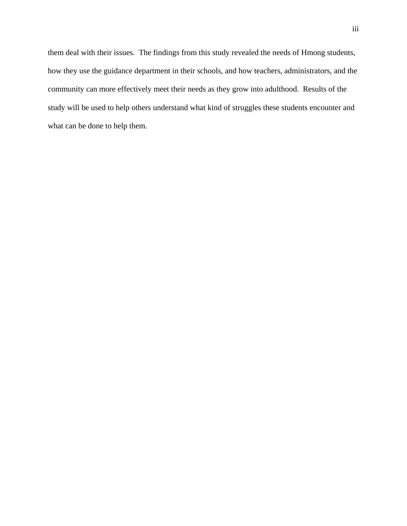them deal with their issues. The findings from this study revealed the needs of Hmong students, how they use the guidance department in their schools, and how teachers, administrators, and the community can more effectively meet their needs as they grow into adulthood. Results of the study will be used to help others understand what kind of struggles these students encounter and what can be done to help them.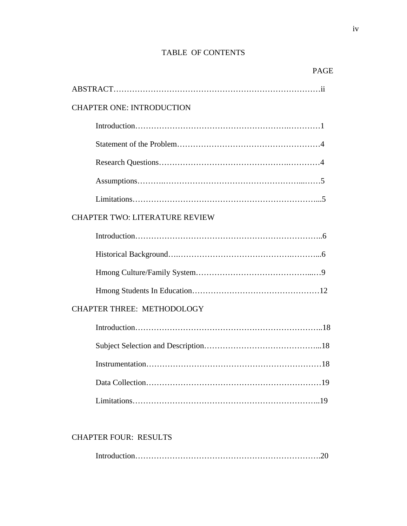## TABLE OF CONTENTS

| <b>CHAPTER ONE: INTRODUCTION</b>      |
|---------------------------------------|
|                                       |
|                                       |
|                                       |
|                                       |
|                                       |
| <b>CHAPTER TWO: LITERATURE REVIEW</b> |
|                                       |
|                                       |
|                                       |
|                                       |
| <b>CHAPTER THREE: METHODOLOGY</b>     |
|                                       |
|                                       |
| Instrumentation                       |
|                                       |
|                                       |

#### CHAPTER FOUR: RESULTS

|--|--|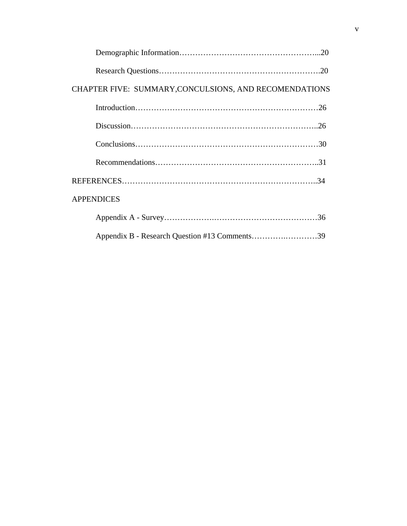| CHAPTER FIVE: SUMMARY, CONCULSIONS, AND RECOMENDATIONS |
|--------------------------------------------------------|
|                                                        |
|                                                        |
|                                                        |
|                                                        |
|                                                        |
| <b>APPENDICES</b>                                      |
|                                                        |
| Appendix B - Research Question #13 Comments39          |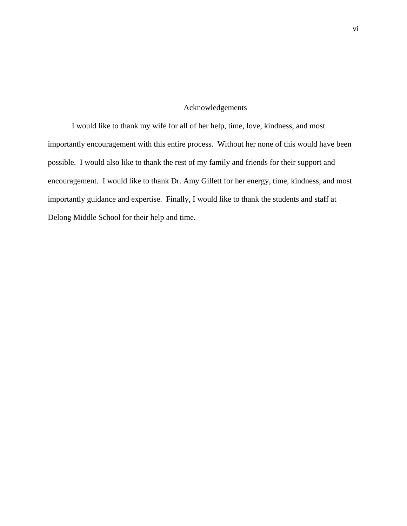## Acknowledgements

I would like to thank my wife for all of her help, time, love, kindness, and most importantly encouragement with this entire process. Without her none of this would have been possible. I would also like to thank the rest of my family and friends for their support and encouragement. I would like to thank Dr. Amy Gillett for her energy, time, kindness, and most importantly guidance and expertise. Finally, I would like to thank the students and staff at Delong Middle School for their help and time.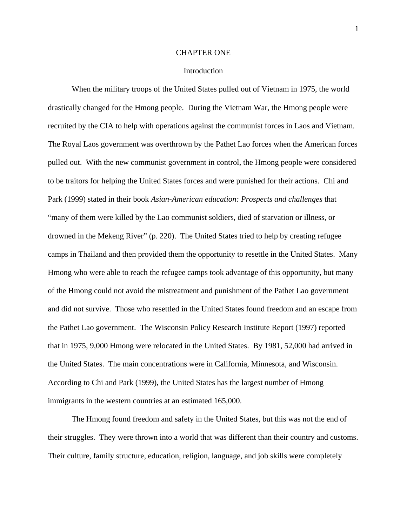#### CHAPTER ONE

#### Introduction

 When the military troops of the United States pulled out of Vietnam in 1975, the world drastically changed for the Hmong people. During the Vietnam War, the Hmong people were recruited by the CIA to help with operations against the communist forces in Laos and Vietnam. The Royal Laos government was overthrown by the Pathet Lao forces when the American forces pulled out. With the new communist government in control, the Hmong people were considered to be traitors for helping the United States forces and were punished for their actions. Chi and Park (1999) stated in their book *Asian-American education: Prospects and challenges* that "many of them were killed by the Lao communist soldiers, died of starvation or illness, or drowned in the Mekeng River" (p. 220). The United States tried to help by creating refugee camps in Thailand and then provided them the opportunity to resettle in the United States. Many Hmong who were able to reach the refugee camps took advantage of this opportunity, but many of the Hmong could not avoid the mistreatment and punishment of the Pathet Lao government and did not survive. Those who resettled in the United States found freedom and an escape from the Pathet Lao government. The Wisconsin Policy Research Institute Report (1997) reported that in 1975, 9,000 Hmong were relocated in the United States. By 1981, 52,000 had arrived in the United States. The main concentrations were in California, Minnesota, and Wisconsin. According to Chi and Park (1999), the United States has the largest number of Hmong immigrants in the western countries at an estimated 165,000.

 The Hmong found freedom and safety in the United States, but this was not the end of their struggles. They were thrown into a world that was different than their country and customs. Their culture, family structure, education, religion, language, and job skills were completely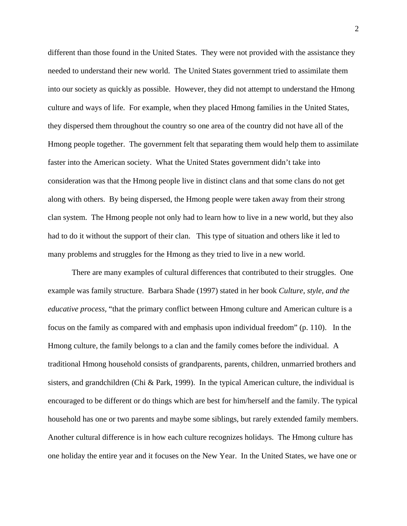different than those found in the United States. They were not provided with the assistance they needed to understand their new world. The United States government tried to assimilate them into our society as quickly as possible. However, they did not attempt to understand the Hmong culture and ways of life. For example, when they placed Hmong families in the United States, they dispersed them throughout the country so one area of the country did not have all of the Hmong people together. The government felt that separating them would help them to assimilate faster into the American society. What the United States government didn't take into consideration was that the Hmong people live in distinct clans and that some clans do not get along with others. By being dispersed, the Hmong people were taken away from their strong clan system. The Hmong people not only had to learn how to live in a new world, but they also had to do it without the support of their clan. This type of situation and others like it led to many problems and struggles for the Hmong as they tried to live in a new world.

 There are many examples of cultural differences that contributed to their struggles. One example was family structure. Barbara Shade (1997) stated in her book *Culture, style, and the educative process,* "that the primary conflict between Hmong culture and American culture is a focus on the family as compared with and emphasis upon individual freedom" (p. 110). In the Hmong culture, the family belongs to a clan and the family comes before the individual. A traditional Hmong household consists of grandparents, parents, children, unmarried brothers and sisters, and grandchildren (Chi & Park, 1999). In the typical American culture, the individual is encouraged to be different or do things which are best for him/herself and the family. The typical household has one or two parents and maybe some siblings, but rarely extended family members. Another cultural difference is in how each culture recognizes holidays. The Hmong culture has one holiday the entire year and it focuses on the New Year. In the United States, we have one or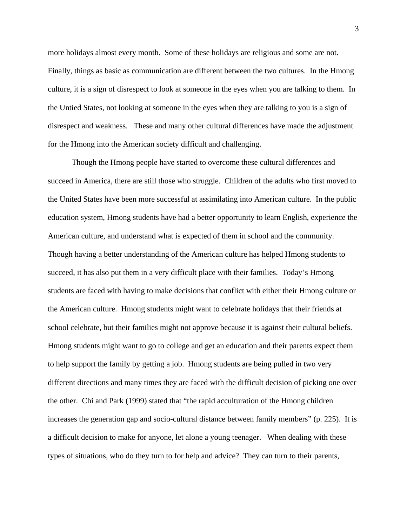more holidays almost every month. Some of these holidays are religious and some are not. Finally, things as basic as communication are different between the two cultures. In the Hmong culture, it is a sign of disrespect to look at someone in the eyes when you are talking to them. In the Untied States, not looking at someone in the eyes when they are talking to you is a sign of disrespect and weakness. These and many other cultural differences have made the adjustment for the Hmong into the American society difficult and challenging.

 Though the Hmong people have started to overcome these cultural differences and succeed in America, there are still those who struggle. Children of the adults who first moved to the United States have been more successful at assimilating into American culture. In the public education system, Hmong students have had a better opportunity to learn English, experience the American culture, and understand what is expected of them in school and the community. Though having a better understanding of the American culture has helped Hmong students to succeed, it has also put them in a very difficult place with their families. Today's Hmong students are faced with having to make decisions that conflict with either their Hmong culture or the American culture. Hmong students might want to celebrate holidays that their friends at school celebrate, but their families might not approve because it is against their cultural beliefs. Hmong students might want to go to college and get an education and their parents expect them to help support the family by getting a job. Hmong students are being pulled in two very different directions and many times they are faced with the difficult decision of picking one over the other. Chi and Park (1999) stated that "the rapid acculturation of the Hmong children increases the generation gap and socio-cultural distance between family members" (p. 225). It is a difficult decision to make for anyone, let alone a young teenager. When dealing with these types of situations, who do they turn to for help and advice? They can turn to their parents,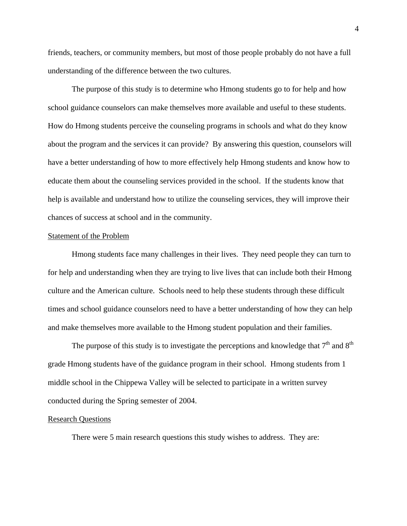friends, teachers, or community members, but most of those people probably do not have a full understanding of the difference between the two cultures.

 The purpose of this study is to determine who Hmong students go to for help and how school guidance counselors can make themselves more available and useful to these students. How do Hmong students perceive the counseling programs in schools and what do they know about the program and the services it can provide? By answering this question, counselors will have a better understanding of how to more effectively help Hmong students and know how to educate them about the counseling services provided in the school. If the students know that help is available and understand how to utilize the counseling services, they will improve their chances of success at school and in the community.

#### Statement of the Problem

 Hmong students face many challenges in their lives. They need people they can turn to for help and understanding when they are trying to live lives that can include both their Hmong culture and the American culture. Schools need to help these students through these difficult times and school guidance counselors need to have a better understanding of how they can help and make themselves more available to the Hmong student population and their families.

The purpose of this study is to investigate the perceptions and knowledge that  $7<sup>th</sup>$  and  $8<sup>th</sup>$ grade Hmong students have of the guidance program in their school. Hmong students from 1 middle school in the Chippewa Valley will be selected to participate in a written survey conducted during the Spring semester of 2004.

#### Research Questions

There were 5 main research questions this study wishes to address. They are: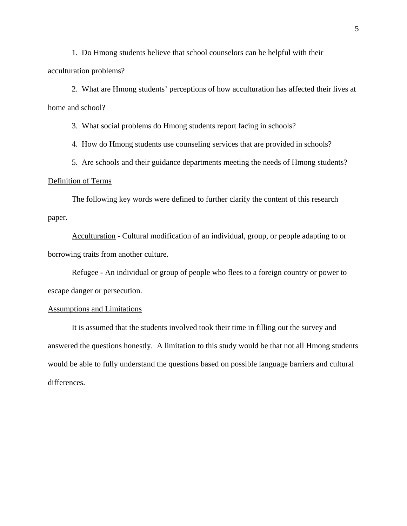1. Do Hmong students believe that school counselors can be helpful with their acculturation problems?

 2. What are Hmong students' perceptions of how acculturation has affected their lives at home and school?

3. What social problems do Hmong students report facing in schools?

4. How do Hmong students use counseling services that are provided in schools?

5. Are schools and their guidance departments meeting the needs of Hmong students?

#### Definition of Terms

 The following key words were defined to further clarify the content of this research paper.

Acculturation - Cultural modification of an individual, group, or people adapting to or borrowing traits from another culture.

Refugee - An individual or group of people who flees to a foreign country or power to escape danger or persecution.

#### Assumptions and Limitations

 It is assumed that the students involved took their time in filling out the survey and answered the questions honestly. A limitation to this study would be that not all Hmong students would be able to fully understand the questions based on possible language barriers and cultural differences.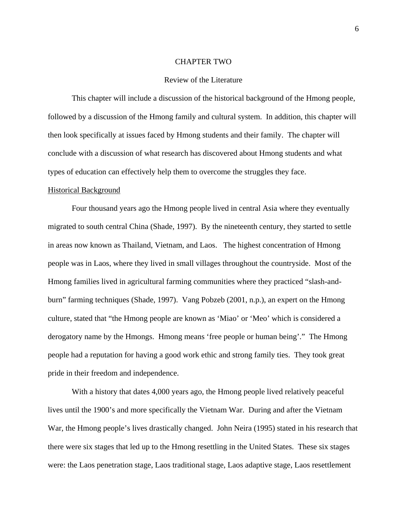#### CHAPTER TWO

#### Review of the Literature

 This chapter will include a discussion of the historical background of the Hmong people, followed by a discussion of the Hmong family and cultural system. In addition, this chapter will then look specifically at issues faced by Hmong students and their family. The chapter will conclude with a discussion of what research has discovered about Hmong students and what types of education can effectively help them to overcome the struggles they face.

#### Historical Background

 Four thousand years ago the Hmong people lived in central Asia where they eventually migrated to south central China (Shade, 1997). By the nineteenth century, they started to settle in areas now known as Thailand, Vietnam, and Laos. The highest concentration of Hmong people was in Laos, where they lived in small villages throughout the countryside. Most of the Hmong families lived in agricultural farming communities where they practiced "slash-andburn" farming techniques (Shade, 1997). Vang Pobzeb (2001, n.p.), an expert on the Hmong culture, stated that "the Hmong people are known as 'Miao' or 'Meo' which is considered a derogatory name by the Hmongs. Hmong means 'free people or human being'." The Hmong people had a reputation for having a good work ethic and strong family ties. They took great pride in their freedom and independence.

 With a history that dates 4,000 years ago, the Hmong people lived relatively peaceful lives until the 1900's and more specifically the Vietnam War. During and after the Vietnam War, the Hmong people's lives drastically changed. John Neira (1995) stated in his research that there were six stages that led up to the Hmong resettling in the United States. These six stages were: the Laos penetration stage, Laos traditional stage, Laos adaptive stage, Laos resettlement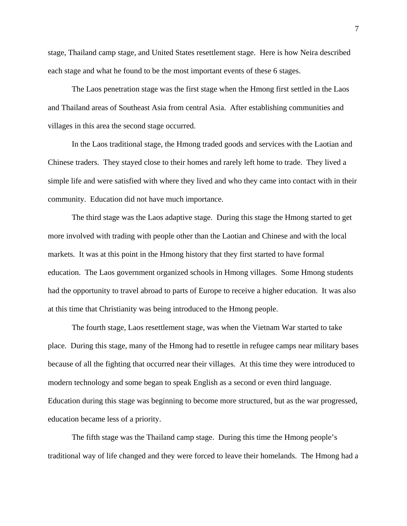stage, Thailand camp stage, and United States resettlement stage. Here is how Neira described each stage and what he found to be the most important events of these 6 stages.

 The Laos penetration stage was the first stage when the Hmong first settled in the Laos and Thailand areas of Southeast Asia from central Asia. After establishing communities and villages in this area the second stage occurred.

 In the Laos traditional stage, the Hmong traded goods and services with the Laotian and Chinese traders. They stayed close to their homes and rarely left home to trade. They lived a simple life and were satisfied with where they lived and who they came into contact with in their community. Education did not have much importance.

 The third stage was the Laos adaptive stage. During this stage the Hmong started to get more involved with trading with people other than the Laotian and Chinese and with the local markets. It was at this point in the Hmong history that they first started to have formal education. The Laos government organized schools in Hmong villages. Some Hmong students had the opportunity to travel abroad to parts of Europe to receive a higher education. It was also at this time that Christianity was being introduced to the Hmong people.

 The fourth stage, Laos resettlement stage, was when the Vietnam War started to take place. During this stage, many of the Hmong had to resettle in refugee camps near military bases because of all the fighting that occurred near their villages. At this time they were introduced to modern technology and some began to speak English as a second or even third language. Education during this stage was beginning to become more structured, but as the war progressed, education became less of a priority.

 The fifth stage was the Thailand camp stage. During this time the Hmong people's traditional way of life changed and they were forced to leave their homelands. The Hmong had a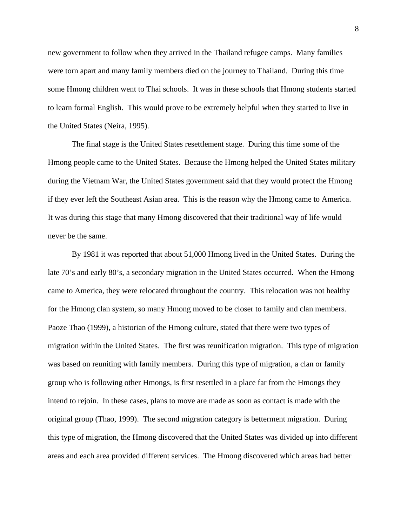new government to follow when they arrived in the Thailand refugee camps. Many families were torn apart and many family members died on the journey to Thailand. During this time some Hmong children went to Thai schools. It was in these schools that Hmong students started to learn formal English. This would prove to be extremely helpful when they started to live in the United States (Neira, 1995).

 The final stage is the United States resettlement stage. During this time some of the Hmong people came to the United States. Because the Hmong helped the United States military during the Vietnam War, the United States government said that they would protect the Hmong if they ever left the Southeast Asian area. This is the reason why the Hmong came to America. It was during this stage that many Hmong discovered that their traditional way of life would never be the same.

 By 1981 it was reported that about 51,000 Hmong lived in the United States. During the late 70's and early 80's, a secondary migration in the United States occurred. When the Hmong came to America, they were relocated throughout the country. This relocation was not healthy for the Hmong clan system, so many Hmong moved to be closer to family and clan members. Paoze Thao (1999), a historian of the Hmong culture, stated that there were two types of migration within the United States. The first was reunification migration. This type of migration was based on reuniting with family members. During this type of migration, a clan or family group who is following other Hmongs, is first resettled in a place far from the Hmongs they intend to rejoin. In these cases, plans to move are made as soon as contact is made with the original group (Thao, 1999). The second migration category is betterment migration. During this type of migration, the Hmong discovered that the United States was divided up into different areas and each area provided different services. The Hmong discovered which areas had better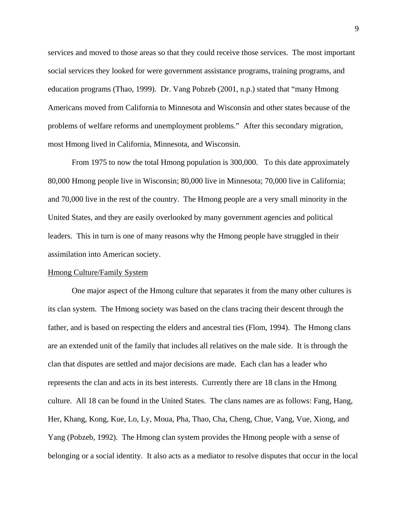services and moved to those areas so that they could receive those services. The most important social services they looked for were government assistance programs, training programs, and education programs (Thao, 1999). Dr. Vang Pobzeb (2001, n.p.) stated that "many Hmong Americans moved from California to Minnesota and Wisconsin and other states because of the problems of welfare reforms and unemployment problems." After this secondary migration, most Hmong lived in California, Minnesota, and Wisconsin.

 From 1975 to now the total Hmong population is 300,000. To this date approximately 80,000 Hmong people live in Wisconsin; 80,000 live in Minnesota; 70,000 live in California; and 70,000 live in the rest of the country. The Hmong people are a very small minority in the United States, and they are easily overlooked by many government agencies and political leaders. This in turn is one of many reasons why the Hmong people have struggled in their assimilation into American society.

#### Hmong Culture/Family System

 One major aspect of the Hmong culture that separates it from the many other cultures is its clan system. The Hmong society was based on the clans tracing their descent through the father, and is based on respecting the elders and ancestral ties (Flom, 1994). The Hmong clans are an extended unit of the family that includes all relatives on the male side. It is through the clan that disputes are settled and major decisions are made. Each clan has a leader who represents the clan and acts in its best interests. Currently there are 18 clans in the Hmong culture. All 18 can be found in the United States. The clans names are as follows: Fang, Hang, Her, Khang, Kong, Kue, Lo, Ly, Moua, Pha, Thao, Cha, Cheng, Chue, Vang, Vue, Xiong, and Yang (Pobzeb, 1992). The Hmong clan system provides the Hmong people with a sense of belonging or a social identity. It also acts as a mediator to resolve disputes that occur in the local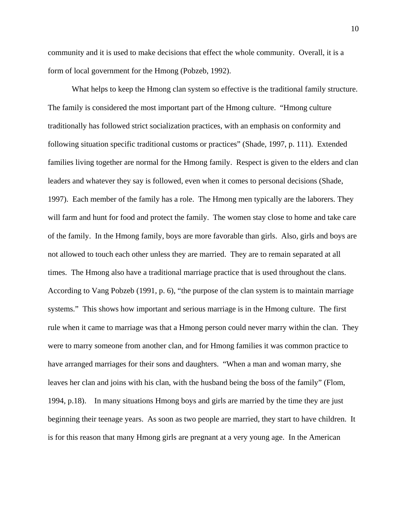community and it is used to make decisions that effect the whole community. Overall, it is a form of local government for the Hmong (Pobzeb, 1992).

 What helps to keep the Hmong clan system so effective is the traditional family structure. The family is considered the most important part of the Hmong culture. "Hmong culture traditionally has followed strict socialization practices, with an emphasis on conformity and following situation specific traditional customs or practices" (Shade, 1997, p. 111). Extended families living together are normal for the Hmong family. Respect is given to the elders and clan leaders and whatever they say is followed, even when it comes to personal decisions (Shade, 1997). Each member of the family has a role. The Hmong men typically are the laborers. They will farm and hunt for food and protect the family. The women stay close to home and take care of the family. In the Hmong family, boys are more favorable than girls. Also, girls and boys are not allowed to touch each other unless they are married. They are to remain separated at all times. The Hmong also have a traditional marriage practice that is used throughout the clans. According to Vang Pobzeb (1991, p. 6), "the purpose of the clan system is to maintain marriage systems." This shows how important and serious marriage is in the Hmong culture. The first rule when it came to marriage was that a Hmong person could never marry within the clan. They were to marry someone from another clan, and for Hmong families it was common practice to have arranged marriages for their sons and daughters. "When a man and woman marry, she leaves her clan and joins with his clan, with the husband being the boss of the family" (Flom, 1994, p.18). In many situations Hmong boys and girls are married by the time they are just beginning their teenage years. As soon as two people are married, they start to have children. It is for this reason that many Hmong girls are pregnant at a very young age. In the American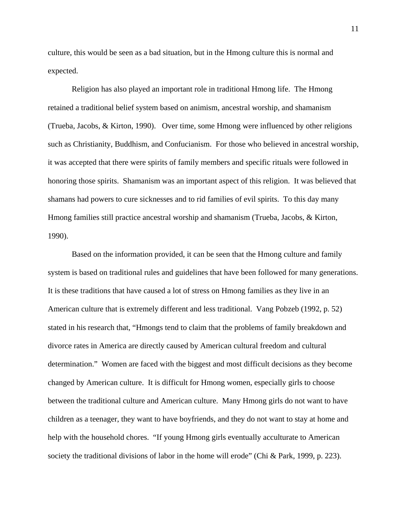culture, this would be seen as a bad situation, but in the Hmong culture this is normal and expected.

 Religion has also played an important role in traditional Hmong life. The Hmong retained a traditional belief system based on animism, ancestral worship, and shamanism (Trueba, Jacobs, & Kirton, 1990). Over time, some Hmong were influenced by other religions such as Christianity, Buddhism, and Confucianism. For those who believed in ancestral worship, it was accepted that there were spirits of family members and specific rituals were followed in honoring those spirits. Shamanism was an important aspect of this religion. It was believed that shamans had powers to cure sicknesses and to rid families of evil spirits. To this day many Hmong families still practice ancestral worship and shamanism (Trueba, Jacobs, & Kirton, 1990).

 Based on the information provided, it can be seen that the Hmong culture and family system is based on traditional rules and guidelines that have been followed for many generations. It is these traditions that have caused a lot of stress on Hmong families as they live in an American culture that is extremely different and less traditional. Vang Pobzeb (1992, p. 52) stated in his research that, "Hmongs tend to claim that the problems of family breakdown and divorce rates in America are directly caused by American cultural freedom and cultural determination." Women are faced with the biggest and most difficult decisions as they become changed by American culture. It is difficult for Hmong women, especially girls to choose between the traditional culture and American culture. Many Hmong girls do not want to have children as a teenager, they want to have boyfriends, and they do not want to stay at home and help with the household chores. "If young Hmong girls eventually acculturate to American society the traditional divisions of labor in the home will erode" (Chi & Park, 1999, p. 223).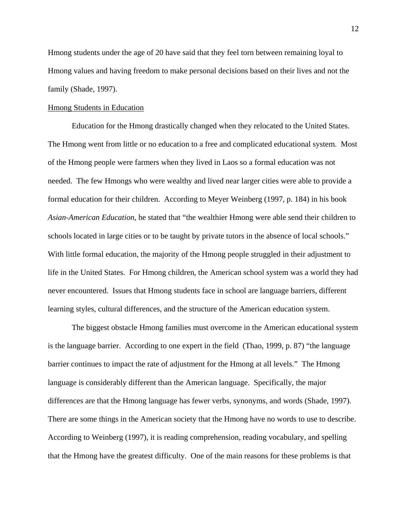Hmong students under the age of 20 have said that they feel torn between remaining loyal to Hmong values and having freedom to make personal decisions based on their lives and not the family (Shade, 1997).

#### Hmong Students in Education

 Education for the Hmong drastically changed when they relocated to the United States. The Hmong went from little or no education to a free and complicated educational system. Most of the Hmong people were farmers when they lived in Laos so a formal education was not needed. The few Hmongs who were wealthy and lived near larger cities were able to provide a formal education for their children. According to Meyer Weinberg (1997, p. 184) in his book *Asian-American Education*, he stated that "the wealthier Hmong were able send their children to schools located in large cities or to be taught by private tutors in the absence of local schools." With little formal education, the majority of the Hmong people struggled in their adjustment to life in the United States. For Hmong children, the American school system was a world they had never encountered. Issues that Hmong students face in school are language barriers, different learning styles, cultural differences, and the structure of the American education system.

 The biggest obstacle Hmong families must overcome in the American educational system is the language barrier. According to one expert in the field (Thao, 1999, p. 87) "the language barrier continues to impact the rate of adjustment for the Hmong at all levels." The Hmong language is considerably different than the American language. Specifically, the major differences are that the Hmong language has fewer verbs, synonyms, and words (Shade, 1997). There are some things in the American society that the Hmong have no words to use to describe. According to Weinberg (1997), it is reading comprehension, reading vocabulary, and spelling that the Hmong have the greatest difficulty. One of the main reasons for these problems is that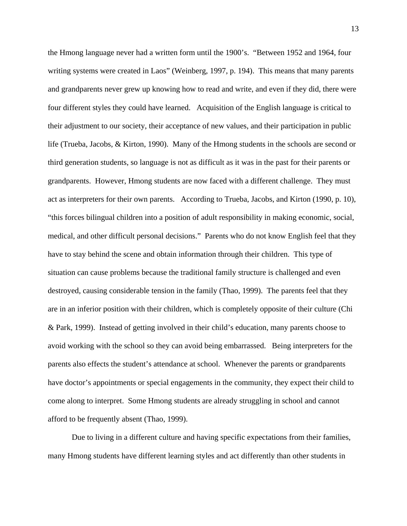the Hmong language never had a written form until the 1900's. "Between 1952 and 1964, four writing systems were created in Laos" (Weinberg, 1997, p. 194). This means that many parents and grandparents never grew up knowing how to read and write, and even if they did, there were four different styles they could have learned. Acquisition of the English language is critical to their adjustment to our society, their acceptance of new values, and their participation in public life (Trueba, Jacobs, & Kirton, 1990). Many of the Hmong students in the schools are second or third generation students, so language is not as difficult as it was in the past for their parents or grandparents. However, Hmong students are now faced with a different challenge. They must act as interpreters for their own parents. According to Trueba, Jacobs, and Kirton (1990, p. 10), "this forces bilingual children into a position of adult responsibility in making economic, social, medical, and other difficult personal decisions." Parents who do not know English feel that they have to stay behind the scene and obtain information through their children. This type of situation can cause problems because the traditional family structure is challenged and even destroyed, causing considerable tension in the family (Thao, 1999). The parents feel that they are in an inferior position with their children, which is completely opposite of their culture (Chi & Park, 1999). Instead of getting involved in their child's education, many parents choose to avoid working with the school so they can avoid being embarrassed. Being interpreters for the parents also effects the student's attendance at school. Whenever the parents or grandparents have doctor's appointments or special engagements in the community, they expect their child to come along to interpret. Some Hmong students are already struggling in school and cannot afford to be frequently absent (Thao, 1999).

 Due to living in a different culture and having specific expectations from their families, many Hmong students have different learning styles and act differently than other students in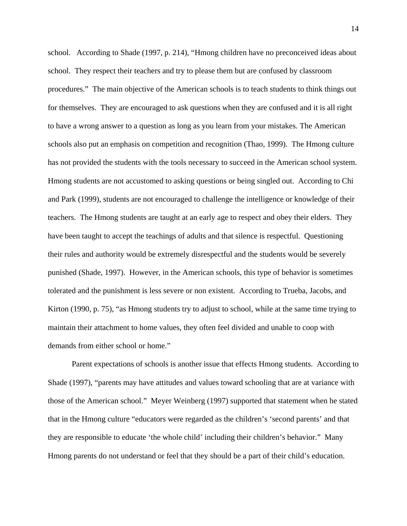school. According to Shade (1997, p. 214), "Hmong children have no preconceived ideas about school. They respect their teachers and try to please them but are confused by classroom procedures." The main objective of the American schools is to teach students to think things out for themselves. They are encouraged to ask questions when they are confused and it is all right to have a wrong answer to a question as long as you learn from your mistakes. The American schools also put an emphasis on competition and recognition (Thao, 1999). The Hmong culture has not provided the students with the tools necessary to succeed in the American school system. Hmong students are not accustomed to asking questions or being singled out. According to Chi and Park (1999), students are not encouraged to challenge the intelligence or knowledge of their teachers. The Hmong students are taught at an early age to respect and obey their elders. They have been taught to accept the teachings of adults and that silence is respectful. Questioning their rules and authority would be extremely disrespectful and the students would be severely punished (Shade, 1997). However, in the American schools, this type of behavior is sometimes tolerated and the punishment is less severe or non existent. According to Trueba, Jacobs, and Kirton (1990, p. 75), "as Hmong students try to adjust to school, while at the same time trying to maintain their attachment to home values, they often feel divided and unable to coop with demands from either school or home."

 Parent expectations of schools is another issue that effects Hmong students. According to Shade (1997), "parents may have attitudes and values toward schooling that are at variance with those of the American school." Meyer Weinberg (1997) supported that statement when he stated that in the Hmong culture "educators were regarded as the children's 'second parents' and that they are responsible to educate 'the whole child' including their children's behavior." Many Hmong parents do not understand or feel that they should be a part of their child's education.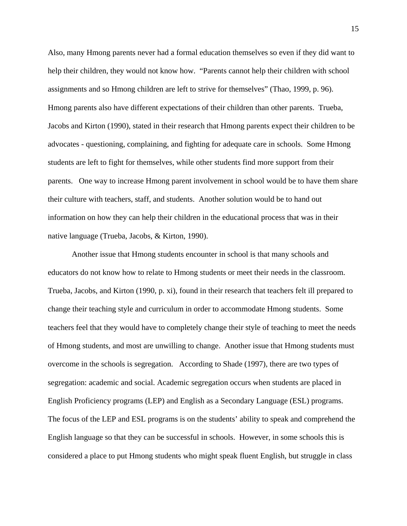Also, many Hmong parents never had a formal education themselves so even if they did want to help their children, they would not know how. "Parents cannot help their children with school assignments and so Hmong children are left to strive for themselves" (Thao, 1999, p. 96). Hmong parents also have different expectations of their children than other parents. Trueba, Jacobs and Kirton (1990), stated in their research that Hmong parents expect their children to be advocates - questioning, complaining, and fighting for adequate care in schools. Some Hmong students are left to fight for themselves, while other students find more support from their parents. One way to increase Hmong parent involvement in school would be to have them share their culture with teachers, staff, and students. Another solution would be to hand out information on how they can help their children in the educational process that was in their native language (Trueba, Jacobs, & Kirton, 1990).

 Another issue that Hmong students encounter in school is that many schools and educators do not know how to relate to Hmong students or meet their needs in the classroom. Trueba, Jacobs, and Kirton (1990, p. xi), found in their research that teachers felt ill prepared to change their teaching style and curriculum in order to accommodate Hmong students. Some teachers feel that they would have to completely change their style of teaching to meet the needs of Hmong students, and most are unwilling to change. Another issue that Hmong students must overcome in the schools is segregation. According to Shade (1997), there are two types of segregation: academic and social. Academic segregation occurs when students are placed in English Proficiency programs (LEP) and English as a Secondary Language (ESL) programs. The focus of the LEP and ESL programs is on the students' ability to speak and comprehend the English language so that they can be successful in schools. However, in some schools this is considered a place to put Hmong students who might speak fluent English, but struggle in class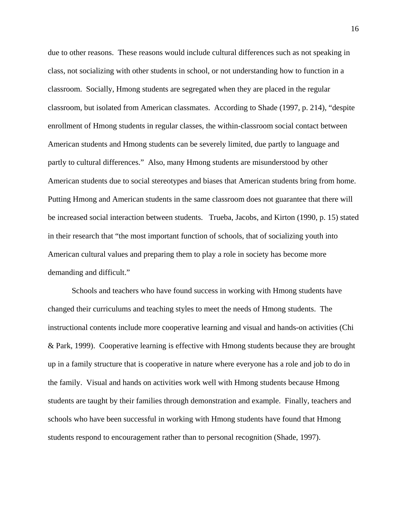due to other reasons. These reasons would include cultural differences such as not speaking in class, not socializing with other students in school, or not understanding how to function in a classroom. Socially, Hmong students are segregated when they are placed in the regular classroom, but isolated from American classmates. According to Shade (1997, p. 214), "despite enrollment of Hmong students in regular classes, the within-classroom social contact between American students and Hmong students can be severely limited, due partly to language and partly to cultural differences." Also, many Hmong students are misunderstood by other American students due to social stereotypes and biases that American students bring from home. Putting Hmong and American students in the same classroom does not guarantee that there will be increased social interaction between students. Trueba, Jacobs, and Kirton (1990, p. 15) stated in their research that "the most important function of schools, that of socializing youth into American cultural values and preparing them to play a role in society has become more demanding and difficult."

 Schools and teachers who have found success in working with Hmong students have changed their curriculums and teaching styles to meet the needs of Hmong students. The instructional contents include more cooperative learning and visual and hands-on activities (Chi & Park, 1999). Cooperative learning is effective with Hmong students because they are brought up in a family structure that is cooperative in nature where everyone has a role and job to do in the family. Visual and hands on activities work well with Hmong students because Hmong students are taught by their families through demonstration and example. Finally, teachers and schools who have been successful in working with Hmong students have found that Hmong students respond to encouragement rather than to personal recognition (Shade, 1997).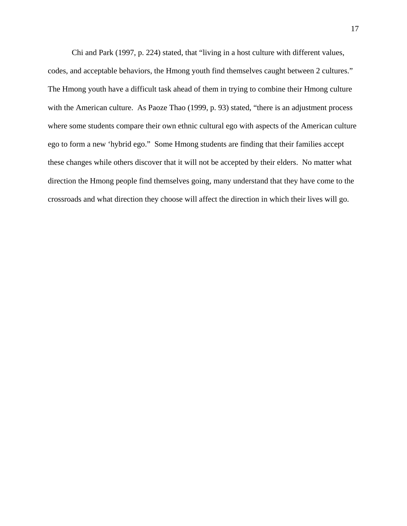Chi and Park (1997, p. 224) stated, that "living in a host culture with different values, codes, and acceptable behaviors, the Hmong youth find themselves caught between 2 cultures." The Hmong youth have a difficult task ahead of them in trying to combine their Hmong culture with the American culture. As Paoze Thao (1999, p. 93) stated, "there is an adjustment process where some students compare their own ethnic cultural ego with aspects of the American culture ego to form a new 'hybrid ego." Some Hmong students are finding that their families accept these changes while others discover that it will not be accepted by their elders. No matter what direction the Hmong people find themselves going, many understand that they have come to the crossroads and what direction they choose will affect the direction in which their lives will go.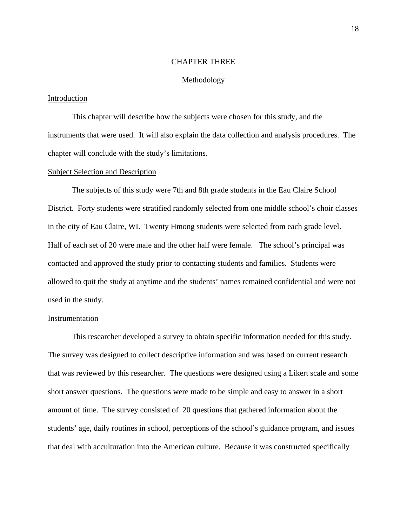#### CHAPTER THREE

#### Methodology

#### Introduction

 This chapter will describe how the subjects were chosen for this study, and the instruments that were used. It will also explain the data collection and analysis procedures. The chapter will conclude with the study's limitations.

#### Subject Selection and Description

 The subjects of this study were 7th and 8th grade students in the Eau Claire School District. Forty students were stratified randomly selected from one middle school's choir classes in the city of Eau Claire, WI. Twenty Hmong students were selected from each grade level. Half of each set of 20 were male and the other half were female. The school's principal was contacted and approved the study prior to contacting students and families. Students were allowed to quit the study at anytime and the students' names remained confidential and were not used in the study.

#### Instrumentation

 This researcher developed a survey to obtain specific information needed for this study. The survey was designed to collect descriptive information and was based on current research that was reviewed by this researcher. The questions were designed using a Likert scale and some short answer questions. The questions were made to be simple and easy to answer in a short amount of time. The survey consisted of 20 questions that gathered information about the students' age, daily routines in school, perceptions of the school's guidance program, and issues that deal with acculturation into the American culture. Because it was constructed specifically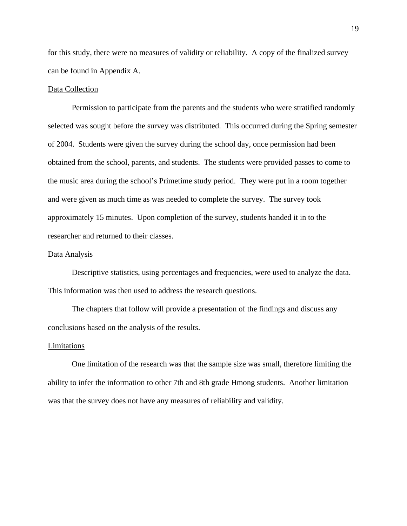for this study, there were no measures of validity or reliability. A copy of the finalized survey can be found in Appendix A.

#### Data Collection

 Permission to participate from the parents and the students who were stratified randomly selected was sought before the survey was distributed. This occurred during the Spring semester of 2004. Students were given the survey during the school day, once permission had been obtained from the school, parents, and students. The students were provided passes to come to the music area during the school's Primetime study period. They were put in a room together and were given as much time as was needed to complete the survey. The survey took approximately 15 minutes. Upon completion of the survey, students handed it in to the researcher and returned to their classes.

#### Data Analysis

 Descriptive statistics, using percentages and frequencies, were used to analyze the data. This information was then used to address the research questions.

 The chapters that follow will provide a presentation of the findings and discuss any conclusions based on the analysis of the results.

#### Limitations

 One limitation of the research was that the sample size was small, therefore limiting the ability to infer the information to other 7th and 8th grade Hmong students. Another limitation was that the survey does not have any measures of reliability and validity.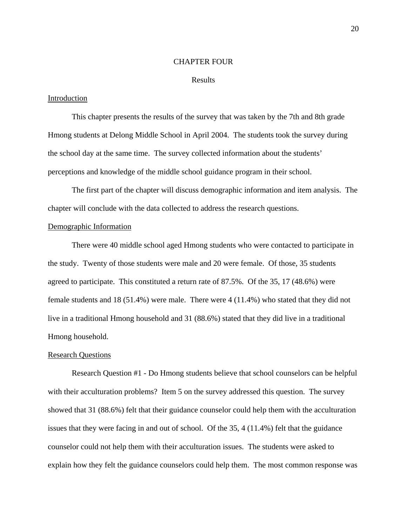#### CHAPTER FOUR

#### Results

#### **Introduction**

 This chapter presents the results of the survey that was taken by the 7th and 8th grade Hmong students at Delong Middle School in April 2004. The students took the survey during the school day at the same time. The survey collected information about the students' perceptions and knowledge of the middle school guidance program in their school.

 The first part of the chapter will discuss demographic information and item analysis. The chapter will conclude with the data collected to address the research questions.

#### Demographic Information

 There were 40 middle school aged Hmong students who were contacted to participate in the study. Twenty of those students were male and 20 were female. Of those, 35 students agreed to participate. This constituted a return rate of 87.5%. Of the 35, 17 (48.6%) were female students and 18 (51.4%) were male. There were 4 (11.4%) who stated that they did not live in a traditional Hmong household and 31 (88.6%) stated that they did live in a traditional Hmong household.

## Research Questions

 Research Question #1 - Do Hmong students believe that school counselors can be helpful with their acculturation problems? Item 5 on the survey addressed this question. The survey showed that 31 (88.6%) felt that their guidance counselor could help them with the acculturation issues that they were facing in and out of school. Of the 35, 4 (11.4%) felt that the guidance counselor could not help them with their acculturation issues. The students were asked to explain how they felt the guidance counselors could help them. The most common response was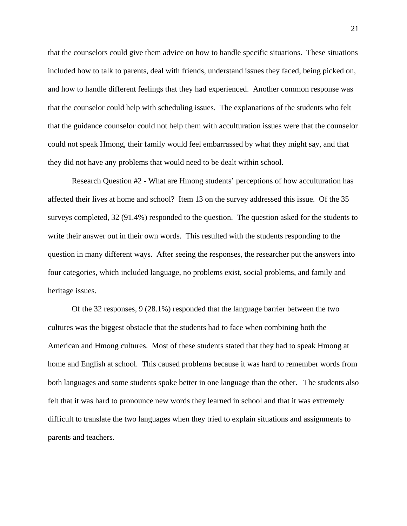that the counselors could give them advice on how to handle specific situations. These situations included how to talk to parents, deal with friends, understand issues they faced, being picked on, and how to handle different feelings that they had experienced. Another common response was that the counselor could help with scheduling issues. The explanations of the students who felt that the guidance counselor could not help them with acculturation issues were that the counselor could not speak Hmong, their family would feel embarrassed by what they might say, and that they did not have any problems that would need to be dealt within school.

 Research Question #2 - What are Hmong students' perceptions of how acculturation has affected their lives at home and school? Item 13 on the survey addressed this issue. Of the 35 surveys completed, 32 (91.4%) responded to the question. The question asked for the students to write their answer out in their own words. This resulted with the students responding to the question in many different ways. After seeing the responses, the researcher put the answers into four categories, which included language, no problems exist, social problems, and family and heritage issues.

 Of the 32 responses, 9 (28.1%) responded that the language barrier between the two cultures was the biggest obstacle that the students had to face when combining both the American and Hmong cultures. Most of these students stated that they had to speak Hmong at home and English at school. This caused problems because it was hard to remember words from both languages and some students spoke better in one language than the other. The students also felt that it was hard to pronounce new words they learned in school and that it was extremely difficult to translate the two languages when they tried to explain situations and assignments to parents and teachers.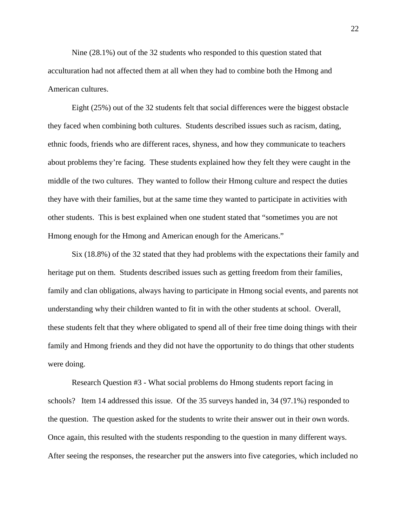Nine (28.1%) out of the 32 students who responded to this question stated that acculturation had not affected them at all when they had to combine both the Hmong and American cultures.

 Eight (25%) out of the 32 students felt that social differences were the biggest obstacle they faced when combining both cultures. Students described issues such as racism, dating, ethnic foods, friends who are different races, shyness, and how they communicate to teachers about problems they're facing. These students explained how they felt they were caught in the middle of the two cultures. They wanted to follow their Hmong culture and respect the duties they have with their families, but at the same time they wanted to participate in activities with other students. This is best explained when one student stated that "sometimes you are not Hmong enough for the Hmong and American enough for the Americans."

 Six (18.8%) of the 32 stated that they had problems with the expectations their family and heritage put on them. Students described issues such as getting freedom from their families, family and clan obligations, always having to participate in Hmong social events, and parents not understanding why their children wanted to fit in with the other students at school. Overall, these students felt that they where obligated to spend all of their free time doing things with their family and Hmong friends and they did not have the opportunity to do things that other students were doing.

 Research Question #3 - What social problems do Hmong students report facing in schools? Item 14 addressed this issue. Of the 35 surveys handed in, 34 (97.1%) responded to the question. The question asked for the students to write their answer out in their own words. Once again, this resulted with the students responding to the question in many different ways. After seeing the responses, the researcher put the answers into five categories, which included no

22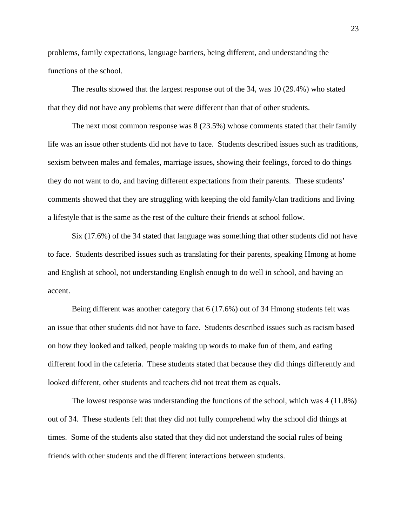problems, family expectations, language barriers, being different, and understanding the functions of the school.

 The results showed that the largest response out of the 34, was 10 (29.4%) who stated that they did not have any problems that were different than that of other students.

 The next most common response was 8 (23.5%) whose comments stated that their family life was an issue other students did not have to face. Students described issues such as traditions, sexism between males and females, marriage issues, showing their feelings, forced to do things they do not want to do, and having different expectations from their parents. These students' comments showed that they are struggling with keeping the old family/clan traditions and living a lifestyle that is the same as the rest of the culture their friends at school follow.

 Six (17.6%) of the 34 stated that language was something that other students did not have to face. Students described issues such as translating for their parents, speaking Hmong at home and English at school, not understanding English enough to do well in school, and having an accent.

 Being different was another category that 6 (17.6%) out of 34 Hmong students felt was an issue that other students did not have to face. Students described issues such as racism based on how they looked and talked, people making up words to make fun of them, and eating different food in the cafeteria. These students stated that because they did things differently and looked different, other students and teachers did not treat them as equals.

 The lowest response was understanding the functions of the school, which was 4 (11.8%) out of 34. These students felt that they did not fully comprehend why the school did things at times. Some of the students also stated that they did not understand the social rules of being friends with other students and the different interactions between students.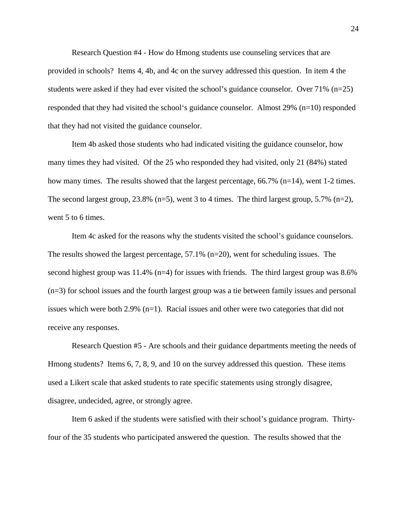Research Question #4 - How do Hmong students use counseling services that are provided in schools? Items 4, 4b, and 4c on the survey addressed this question. In item 4 the students were asked if they had ever visited the school's guidance counselor. Over 71% (n=25) responded that they had visited the school's guidance counselor. Almost 29% (n=10) responded that they had not visited the guidance counselor.

 Item 4b asked those students who had indicated visiting the guidance counselor, how many times they had visited. Of the 25 who responded they had visited, only 21 (84%) stated how many times. The results showed that the largest percentage, 66.7% (n=14), went 1-2 times. The second largest group, 23.8% (n=5), went 3 to 4 times. The third largest group, 5.7% (n=2), went 5 to 6 times.

 Item 4c asked for the reasons why the students visited the school's guidance counselors. The results showed the largest percentage, 57.1% (n=20), went for scheduling issues. The second highest group was  $11.4\%$  (n=4) for issues with friends. The third largest group was 8.6% (n=3) for school issues and the fourth largest group was a tie between family issues and personal issues which were both 2.9% (n=1). Racial issues and other were two categories that did not receive any responses.

 Research Question #5 - Are schools and their guidance departments meeting the needs of Hmong students? Items 6, 7, 8, 9, and 10 on the survey addressed this question. These items used a Likert scale that asked students to rate specific statements using strongly disagree, disagree, undecided, agree, or strongly agree.

 Item 6 asked if the students were satisfied with their school's guidance program. Thirtyfour of the 35 students who participated answered the question. The results showed that the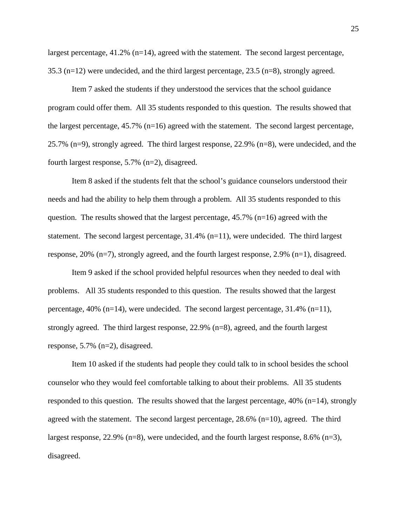largest percentage, 41.2% (n=14), agreed with the statement. The second largest percentage, 35.3 (n=12) were undecided, and the third largest percentage, 23.5 (n=8), strongly agreed.

 Item 7 asked the students if they understood the services that the school guidance program could offer them. All 35 students responded to this question. The results showed that the largest percentage, 45.7% (n=16) agreed with the statement. The second largest percentage, 25.7% (n=9), strongly agreed. The third largest response, 22.9% (n=8), were undecided, and the fourth largest response, 5.7% (n=2), disagreed.

 Item 8 asked if the students felt that the school's guidance counselors understood their needs and had the ability to help them through a problem. All 35 students responded to this question. The results showed that the largest percentage,  $45.7\%$  (n=16) agreed with the statement. The second largest percentage,  $31.4\%$  (n=11), were undecided. The third largest response, 20% (n=7), strongly agreed, and the fourth largest response, 2.9% (n=1), disagreed.

 Item 9 asked if the school provided helpful resources when they needed to deal with problems. All 35 students responded to this question. The results showed that the largest percentage,  $40\%$  (n=14), were undecided. The second largest percentage, 31.4% (n=11), strongly agreed. The third largest response, 22.9% (n=8), agreed, and the fourth largest response, 5.7% (n=2), disagreed.

 Item 10 asked if the students had people they could talk to in school besides the school counselor who they would feel comfortable talking to about their problems. All 35 students responded to this question. The results showed that the largest percentage, 40% (n=14), strongly agreed with the statement. The second largest percentage,  $28.6\%$  (n=10), agreed. The third largest response,  $22.9\%$  (n=8), were undecided, and the fourth largest response,  $8.6\%$  (n=3), disagreed.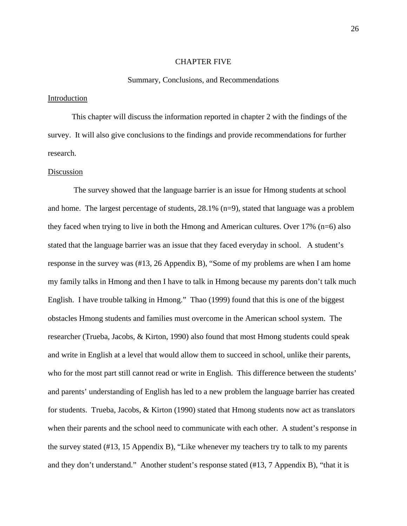#### CHAPTER FIVE

#### Summary, Conclusions, and Recommendations

#### **Introduction**

 This chapter will discuss the information reported in chapter 2 with the findings of the survey. It will also give conclusions to the findings and provide recommendations for further research.

#### **Discussion**

 The survey showed that the language barrier is an issue for Hmong students at school and home. The largest percentage of students, 28.1% (n=9), stated that language was a problem they faced when trying to live in both the Hmong and American cultures. Over 17% (n=6) also stated that the language barrier was an issue that they faced everyday in school. A student's response in the survey was (#13, 26 Appendix B), "Some of my problems are when I am home my family talks in Hmong and then I have to talk in Hmong because my parents don't talk much English. I have trouble talking in Hmong." Thao (1999) found that this is one of the biggest obstacles Hmong students and families must overcome in the American school system. The researcher (Trueba, Jacobs, & Kirton, 1990) also found that most Hmong students could speak and write in English at a level that would allow them to succeed in school, unlike their parents, who for the most part still cannot read or write in English. This difference between the students' and parents' understanding of English has led to a new problem the language barrier has created for students. Trueba, Jacobs, & Kirton (1990) stated that Hmong students now act as translators when their parents and the school need to communicate with each other. A student's response in the survey stated (#13, 15 Appendix B), "Like whenever my teachers try to talk to my parents and they don't understand." Another student's response stated (#13, 7 Appendix B), "that it is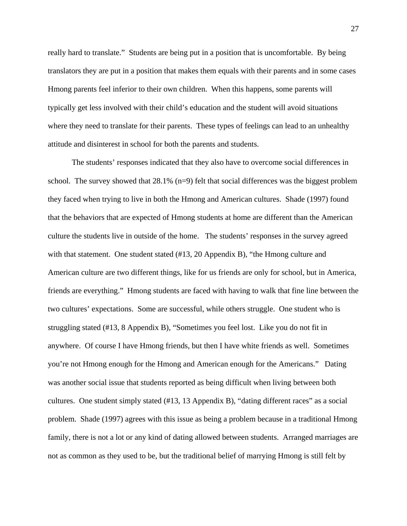really hard to translate." Students are being put in a position that is uncomfortable. By being translators they are put in a position that makes them equals with their parents and in some cases Hmong parents feel inferior to their own children. When this happens, some parents will typically get less involved with their child's education and the student will avoid situations where they need to translate for their parents. These types of feelings can lead to an unhealthy attitude and disinterest in school for both the parents and students.

 The students' responses indicated that they also have to overcome social differences in school. The survey showed that  $28.1\%$  (n=9) felt that social differences was the biggest problem they faced when trying to live in both the Hmong and American cultures. Shade (1997) found that the behaviors that are expected of Hmong students at home are different than the American culture the students live in outside of the home. The students' responses in the survey agreed with that statement. One student stated (#13, 20 Appendix B), "the Hmong culture and American culture are two different things, like for us friends are only for school, but in America, friends are everything." Hmong students are faced with having to walk that fine line between the two cultures' expectations. Some are successful, while others struggle. One student who is struggling stated (#13, 8 Appendix B), "Sometimes you feel lost. Like you do not fit in anywhere. Of course I have Hmong friends, but then I have white friends as well. Sometimes you're not Hmong enough for the Hmong and American enough for the Americans." Dating was another social issue that students reported as being difficult when living between both cultures. One student simply stated (#13, 13 Appendix B), "dating different races" as a social problem. Shade (1997) agrees with this issue as being a problem because in a traditional Hmong family, there is not a lot or any kind of dating allowed between students. Arranged marriages are not as common as they used to be, but the traditional belief of marrying Hmong is still felt by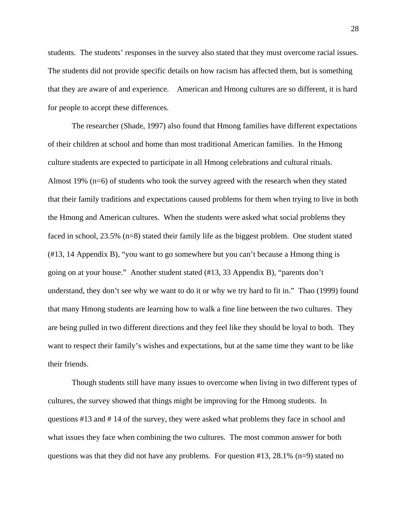students. The students' responses in the survey also stated that they must overcome racial issues. The students did not provide specific details on how racism has affected them, but is something that they are aware of and experience. American and Hmong cultures are so different, it is hard for people to accept these differences.

 The researcher (Shade, 1997) also found that Hmong families have different expectations of their children at school and home than most traditional American families. In the Hmong culture students are expected to participate in all Hmong celebrations and cultural rituals. Almost 19% (n=6) of students who took the survey agreed with the research when they stated that their family traditions and expectations caused problems for them when trying to live in both the Hmong and American cultures. When the students were asked what social problems they faced in school, 23.5% (n=8) stated their family life as the biggest problem. One student stated (#13, 14 Appendix B), "you want to go somewhere but you can't because a Hmong thing is going on at your house." Another student stated (#13, 33 Appendix B), "parents don't understand, they don't see why we want to do it or why we try hard to fit in." Thao (1999) found that many Hmong students are learning how to walk a fine line between the two cultures. They are being pulled in two different directions and they feel like they should be loyal to both. They want to respect their family's wishes and expectations, but at the same time they want to be like their friends.

 Though students still have many issues to overcome when living in two different types of cultures, the survey showed that things might be improving for the Hmong students. In questions #13 and # 14 of the survey, they were asked what problems they face in school and what issues they face when combining the two cultures. The most common answer for both questions was that they did not have any problems. For question  $\#13$ ,  $28.1\%$  (n=9) stated no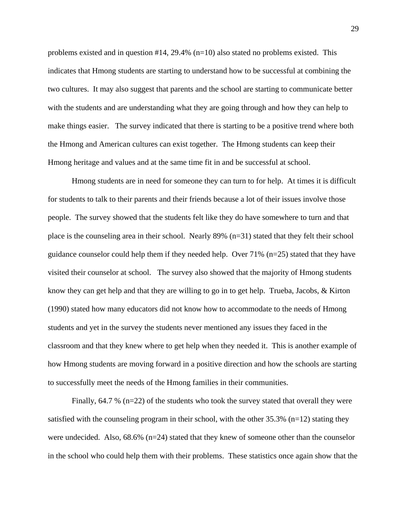problems existed and in question  $#14$ , 29.4% (n=10) also stated no problems existed. This indicates that Hmong students are starting to understand how to be successful at combining the two cultures. It may also suggest that parents and the school are starting to communicate better with the students and are understanding what they are going through and how they can help to make things easier. The survey indicated that there is starting to be a positive trend where both the Hmong and American cultures can exist together. The Hmong students can keep their Hmong heritage and values and at the same time fit in and be successful at school.

 Hmong students are in need for someone they can turn to for help. At times it is difficult for students to talk to their parents and their friends because a lot of their issues involve those people. The survey showed that the students felt like they do have somewhere to turn and that place is the counseling area in their school. Nearly 89% (n=31) stated that they felt their school guidance counselor could help them if they needed help. Over 71% (n=25) stated that they have visited their counselor at school. The survey also showed that the majority of Hmong students know they can get help and that they are willing to go in to get help. Trueba, Jacobs, & Kirton (1990) stated how many educators did not know how to accommodate to the needs of Hmong students and yet in the survey the students never mentioned any issues they faced in the classroom and that they knew where to get help when they needed it. This is another example of how Hmong students are moving forward in a positive direction and how the schools are starting to successfully meet the needs of the Hmong families in their communities.

Finally, 64.7 % (n=22) of the students who took the survey stated that overall they were satisfied with the counseling program in their school, with the other  $35.3\%$  (n=12) stating they were undecided. Also,  $68.6\%$  ( $n=24$ ) stated that they knew of someone other than the counselor in the school who could help them with their problems. These statistics once again show that the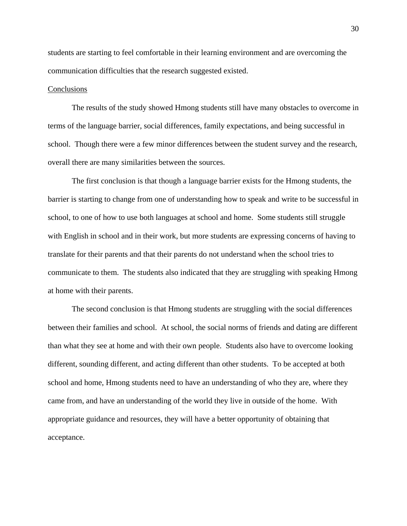students are starting to feel comfortable in their learning environment and are overcoming the communication difficulties that the research suggested existed.

#### **Conclusions**

 The results of the study showed Hmong students still have many obstacles to overcome in terms of the language barrier, social differences, family expectations, and being successful in school. Though there were a few minor differences between the student survey and the research, overall there are many similarities between the sources.

 The first conclusion is that though a language barrier exists for the Hmong students, the barrier is starting to change from one of understanding how to speak and write to be successful in school, to one of how to use both languages at school and home. Some students still struggle with English in school and in their work, but more students are expressing concerns of having to translate for their parents and that their parents do not understand when the school tries to communicate to them. The students also indicated that they are struggling with speaking Hmong at home with their parents.

 The second conclusion is that Hmong students are struggling with the social differences between their families and school. At school, the social norms of friends and dating are different than what they see at home and with their own people. Students also have to overcome looking different, sounding different, and acting different than other students. To be accepted at both school and home, Hmong students need to have an understanding of who they are, where they came from, and have an understanding of the world they live in outside of the home. With appropriate guidance and resources, they will have a better opportunity of obtaining that acceptance.

30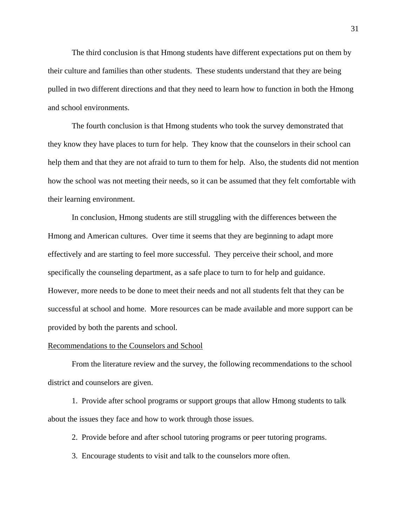The third conclusion is that Hmong students have different expectations put on them by their culture and families than other students. These students understand that they are being pulled in two different directions and that they need to learn how to function in both the Hmong and school environments.

 The fourth conclusion is that Hmong students who took the survey demonstrated that they know they have places to turn for help. They know that the counselors in their school can help them and that they are not afraid to turn to them for help. Also, the students did not mention how the school was not meeting their needs, so it can be assumed that they felt comfortable with their learning environment.

 In conclusion, Hmong students are still struggling with the differences between the Hmong and American cultures. Over time it seems that they are beginning to adapt more effectively and are starting to feel more successful. They perceive their school, and more specifically the counseling department, as a safe place to turn to for help and guidance. However, more needs to be done to meet their needs and not all students felt that they can be successful at school and home. More resources can be made available and more support can be provided by both the parents and school.

#### Recommendations to the Counselors and School

 From the literature review and the survey, the following recommendations to the school district and counselors are given.

 1. Provide after school programs or support groups that allow Hmong students to talk about the issues they face and how to work through those issues.

2. Provide before and after school tutoring programs or peer tutoring programs.

3. Encourage students to visit and talk to the counselors more often.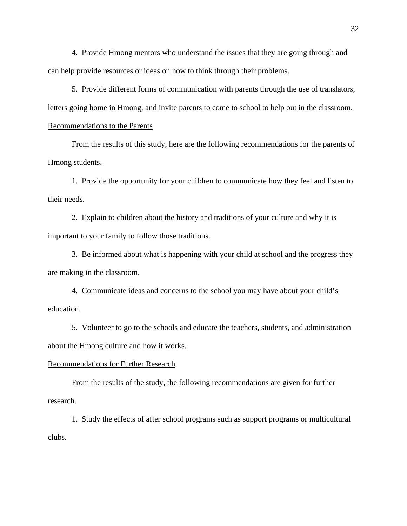4. Provide Hmong mentors who understand the issues that they are going through and can help provide resources or ideas on how to think through their problems.

 5. Provide different forms of communication with parents through the use of translators, letters going home in Hmong, and invite parents to come to school to help out in the classroom.

### Recommendations to the Parents

 From the results of this study, here are the following recommendations for the parents of Hmong students.

 1. Provide the opportunity for your children to communicate how they feel and listen to their needs.

 2. Explain to children about the history and traditions of your culture and why it is important to your family to follow those traditions.

 3. Be informed about what is happening with your child at school and the progress they are making in the classroom.

 4. Communicate ideas and concerns to the school you may have about your child's education.

 5. Volunteer to go to the schools and educate the teachers, students, and administration about the Hmong culture and how it works.

#### Recommendations for Further Research

 From the results of the study, the following recommendations are given for further research.

 1. Study the effects of after school programs such as support programs or multicultural clubs.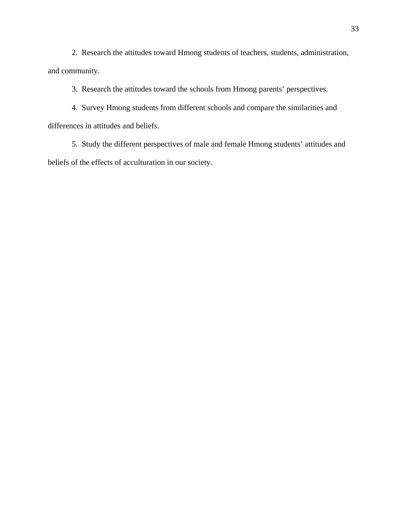2. Research the attitudes toward Hmong students of teachers, students, administration, and community.

3. Research the attitudes toward the schools from Hmong parents' perspectives.

 4. Survey Hmong students from different schools and compare the similarities and differences in attitudes and beliefs.

 5. Study the different perspectives of male and female Hmong students' attitudes and beliefs of the effects of acculturation in our society.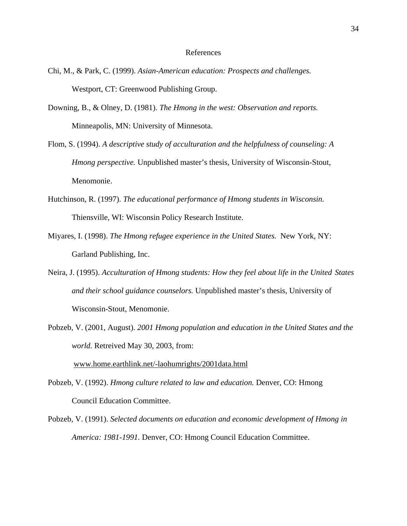#### References

- Chi, M., & Park, C. (1999). *Asian-American education: Prospects and challenges.*  Westport, CT: Greenwood Publishing Group.
- Downing, B., & Olney, D. (1981). *The Hmong in the west: Observation and reports.* Minneapolis, MN: University of Minnesota.
- Flom, S. (1994). *A descriptive study of acculturation and the helpfulness of counseling: A Hmong perspective.* Unpublished master's thesis, University of Wisconsin-Stout, Menomonie.
- Hutchinson, R. (1997). *The educational performance of Hmong students in Wisconsin.* Thiensville, WI: Wisconsin Policy Research Institute.
- Miyares, I. (1998). *The Hmong refugee experience in the United States.* New York, NY: Garland Publishing, Inc.
- Neira, J. (1995). *Acculturation of Hmong students: How they feel about life in the United States and their school guidance counselors.* Unpublished master's thesis, University of Wisconsin-Stout, Menomonie.
- Pobzeb, V. (2001, August). *2001 Hmong population and education in the United States and the world.* Retreived May 30, 2003, from:

www.home.earthlink.net/-laohumrights/2001data.html

- Pobzeb, V. (1992). *Hmong culture related to law and education.* Denver, CO: Hmong Council Education Committee.
- Pobzeb, V. (1991). *Selected documents on education and economic development of Hmong in America: 1981-1991.* Denver, CO: Hmong Council Education Committee.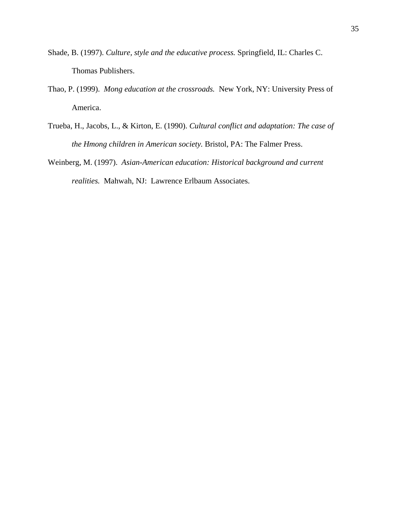- Shade, B. (1997). *Culture, style and the educative process.* Springfield, IL: Charles C. Thomas Publishers.
- Thao, P. (1999). *Mong education at the crossroads.* New York, NY: University Press of America.
- Trueba, H., Jacobs, L., & Kirton, E. (1990). *Cultural conflict and adaptation: The case of the Hmong children in American society.* Bristol, PA: The Falmer Press.
- Weinberg, M. (1997). *Asian-American education: Historical background and current realities.* Mahwah, NJ: Lawrence Erlbaum Associates.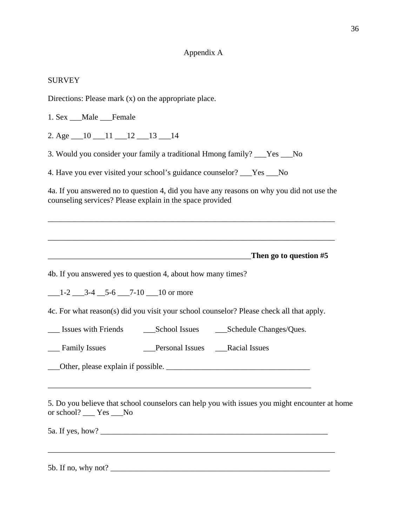## Appendix A

## SURVEY

1. Sex \_\_\_Male \_\_\_Female

Directions: Please mark (x) on the appropriate place.

| 2. Age $\_10$ $\_11$ $\_12$ $\_13$ $\_14$                                                                                                                                                                                                      |
|------------------------------------------------------------------------------------------------------------------------------------------------------------------------------------------------------------------------------------------------|
| 3. Would you consider your family a traditional Hmong family? ___Yes ___No                                                                                                                                                                     |
| 4. Have you ever visited your school's guidance counselor? ___Yes ___No                                                                                                                                                                        |
| 4a. If you answered no to question 4, did you have any reasons on why you did not use the<br>counseling services? Please explain in the space provided                                                                                         |
| ,我们也不能在这里的时候,我们也不能在这里的时候,我们也不能会在这里的时候,我们也不能会在这里的时候,我们也不能会在这里的时候,我们也不能会在这里的时候,我们也不                                                                                                                                                              |
|                                                                                                                                                                                                                                                |
| 4b. If you answered yes to question 4, about how many times?                                                                                                                                                                                   |
| $-1-2$ $-3-4$ $-5-6$ $-7-10$ $-10$ or more                                                                                                                                                                                                     |
| 4c. For what reason(s) did you visit your school counselor? Please check all that apply.                                                                                                                                                       |
|                                                                                                                                                                                                                                                |
|                                                                                                                                                                                                                                                |
| Other, please explain if possible.                                                                                                                                                                                                             |
| and the control of the control of the control of the control of the control of the control of the control of the<br>5. Do you believe that school counselors can help you with issues you might encounter at home<br>or school? ____ Yes ___No |
| 5b. If no, why not?                                                                                                                                                                                                                            |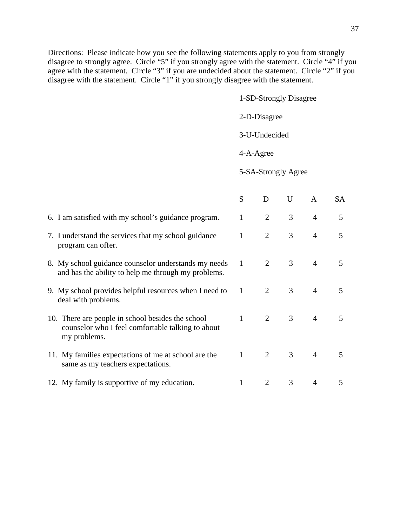37

Directions: Please indicate how you see the following statements apply to you from strongly disagree to strongly agree. Circle "5" if you strongly agree with the statement. Circle "4" if you agree with the statement. Circle "3" if you are undecided about the statement. Circle "2" if you disagree with the statement. Circle "1" if you strongly disagree with the statement.

1-SD-Strongly Disagree

2-D-Disagree

3-U-Undecided

4-A-Agree

5-SA-Strongly Agree

|                                                                                                                        | S | D              | U              | A              | <b>SA</b> |
|------------------------------------------------------------------------------------------------------------------------|---|----------------|----------------|----------------|-----------|
| 6. I am satisfied with my school's guidance program.                                                                   | 1 | 2              | 3              | $\overline{4}$ | 5         |
| 7. I understand the services that my school guidance<br>program can offer.                                             | 1 | $\overline{2}$ | 3              | $\overline{4}$ | 5         |
| 8. My school guidance counselor understands my needs<br>and has the ability to help me through my problems.            | 1 | $\overline{2}$ | $\mathfrak{Z}$ | $\overline{4}$ | 5         |
| 9. My school provides helpful resources when I need to<br>deal with problems.                                          | 1 | 2              | 3              | $\overline{4}$ | 5         |
| 10. There are people in school besides the school<br>counselor who I feel comfortable talking to about<br>my problems. | 1 | $\overline{2}$ | $\mathfrak{Z}$ | $\overline{4}$ | 5         |
| 11. My families expectations of me at school are the<br>same as my teachers expectations.                              | 1 | $\overline{2}$ | $\mathfrak{Z}$ | $\overline{4}$ | 5         |
| 12. My family is supportive of my education.                                                                           |   |                | 3              | 4              | 5         |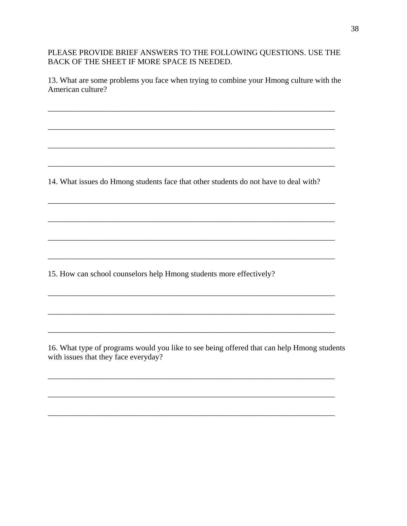PLEASE PROVIDE BRIEF ANSWERS TO THE FOLLOWING QUESTIONS. USE THE BACK OF THE SHEET IF MORE SPACE IS NEEDED.

13. What are some problems you face when trying to combine your Hmong culture with the American culture?

14. What issues do Hmong students face that other students do not have to deal with?

<u> 1989 - Johann Stoff, Amerikaansk politiker (\* 1958)</u>

15. How can school counselors help Hmong students more effectively?

16. What type of programs would you like to see being offered that can help Hmong students with issues that they face everyday?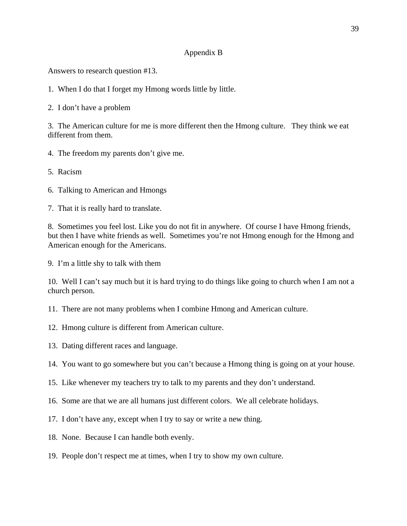## Appendix B

Answers to research question #13.

1. When I do that I forget my Hmong words little by little.

2. I don't have a problem

3. The American culture for me is more different then the Hmong culture. They think we eat different from them.

- 4. The freedom my parents don't give me.
- 5. Racism
- 6. Talking to American and Hmongs
- 7. That it is really hard to translate.

8. Sometimes you feel lost. Like you do not fit in anywhere. Of course I have Hmong friends, but then I have white friends as well. Sometimes you're not Hmong enough for the Hmong and American enough for the Americans.

9. I'm a little shy to talk with them

10. Well I can't say much but it is hard trying to do things like going to church when I am not a church person.

11. There are not many problems when I combine Hmong and American culture.

- 12. Hmong culture is different from American culture.
- 13. Dating different races and language.
- 14. You want to go somewhere but you can't because a Hmong thing is going on at your house.
- 15. Like whenever my teachers try to talk to my parents and they don't understand.
- 16. Some are that we are all humans just different colors. We all celebrate holidays.
- 17. I don't have any, except when I try to say or write a new thing.
- 18. None. Because I can handle both evenly.
- 19. People don't respect me at times, when I try to show my own culture.